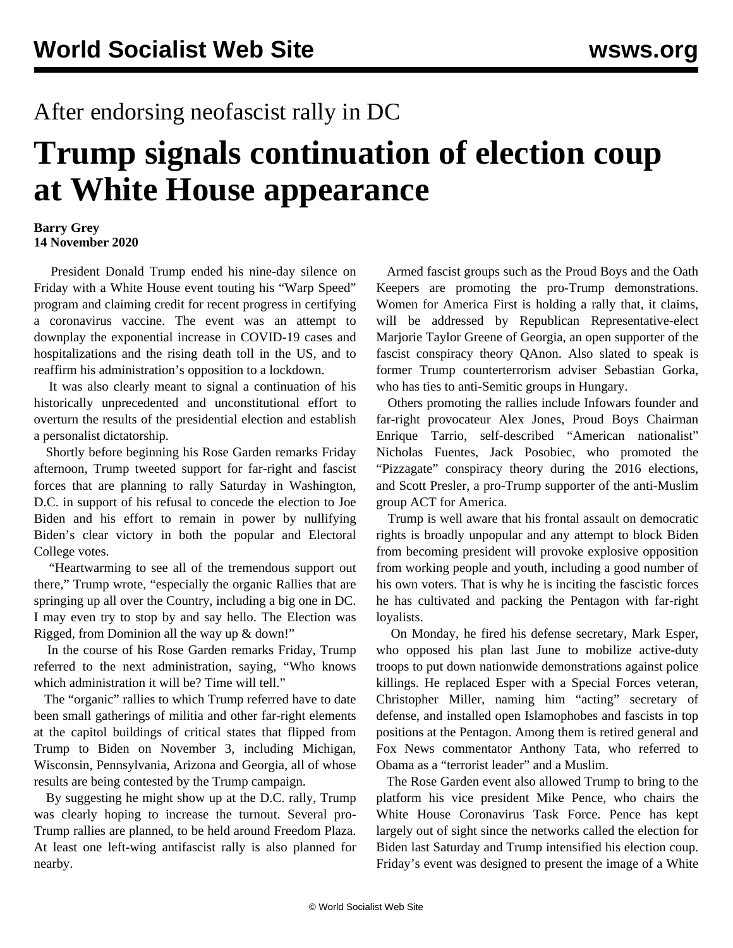## After endorsing neofascist rally in DC

## **Trump signals continuation of election coup at White House appearance**

## **Barry Grey 14 November 2020**

 President Donald Trump ended his nine-day silence on Friday with a White House event touting his "Warp Speed" program and claiming credit for recent progress in certifying a coronavirus vaccine. The event was an attempt to downplay the exponential increase in COVID-19 cases and hospitalizations and the rising death toll in the US, and to reaffirm his administration's opposition to a lockdown.

 It was also clearly meant to signal a continuation of his historically unprecedented and unconstitutional effort to overturn the results of the presidential election and establish a personalist dictatorship.

 Shortly before beginning his Rose Garden remarks Friday afternoon, Trump tweeted support for far-right and fascist forces that are planning to rally Saturday in Washington, D.C. in support of his refusal to concede the election to Joe Biden and his effort to remain in power by nullifying Biden's clear victory in both the popular and Electoral College votes.

 "Heartwarming to see all of the tremendous support out there," Trump wrote, "especially the organic Rallies that are springing up all over the Country, including a big one in DC. I may even try to stop by and say hello. The Election was Rigged, from Dominion all the way up & down!"

 In the course of his Rose Garden remarks Friday, Trump referred to the next administration, saying, "Who knows which administration it will be? Time will tell."

 The "organic" rallies to which Trump referred have to date been small gatherings of militia and other far-right elements at the capitol buildings of critical states that flipped from Trump to Biden on November 3, including Michigan, Wisconsin, Pennsylvania, Arizona and Georgia, all of whose results are being contested by the Trump campaign.

 By suggesting he might show up at the D.C. rally, Trump was clearly hoping to increase the turnout. Several pro-Trump rallies are planned, to be held around Freedom Plaza. At least one left-wing antifascist rally is also planned for nearby.

 Armed fascist groups such as the Proud Boys and the Oath Keepers are promoting the pro-Trump demonstrations. Women for America First is holding a rally that, it claims, will be addressed by Republican Representative-elect Marjorie Taylor Greene of Georgia, an open supporter of the fascist conspiracy theory QAnon. Also slated to speak is former Trump counterterrorism adviser Sebastian Gorka, who has ties to anti-Semitic groups in Hungary.

 Others promoting the rallies include Infowars founder and far-right provocateur Alex Jones, Proud Boys Chairman Enrique Tarrio, self-described "American nationalist" Nicholas Fuentes, Jack Posobiec, who promoted the "Pizzagate" conspiracy theory during the 2016 elections, and Scott Presler, a pro-Trump supporter of the anti-Muslim group ACT for America.

 Trump is well aware that his frontal assault on democratic rights is broadly unpopular and any attempt to block Biden from becoming president will provoke explosive opposition from working people and youth, including a good number of his own voters. That is why he is inciting the fascistic forces he has cultivated and packing the Pentagon with far-right loyalists.

 On Monday, he fired his defense secretary, Mark Esper, who opposed his plan last June to mobilize active-duty troops to put down nationwide demonstrations against police killings. He replaced Esper with a Special Forces veteran, Christopher Miller, naming him "acting" secretary of defense, and installed open Islamophobes and fascists in top positions at the Pentagon. Among them is retired general and Fox News commentator Anthony Tata, who referred to Obama as a "terrorist leader" and a Muslim.

 The Rose Garden event also allowed Trump to bring to the platform his vice president Mike Pence, who chairs the White House Coronavirus Task Force. Pence has kept largely out of sight since the networks called the election for Biden last Saturday and Trump intensified his election coup. Friday's event was designed to present the image of a White